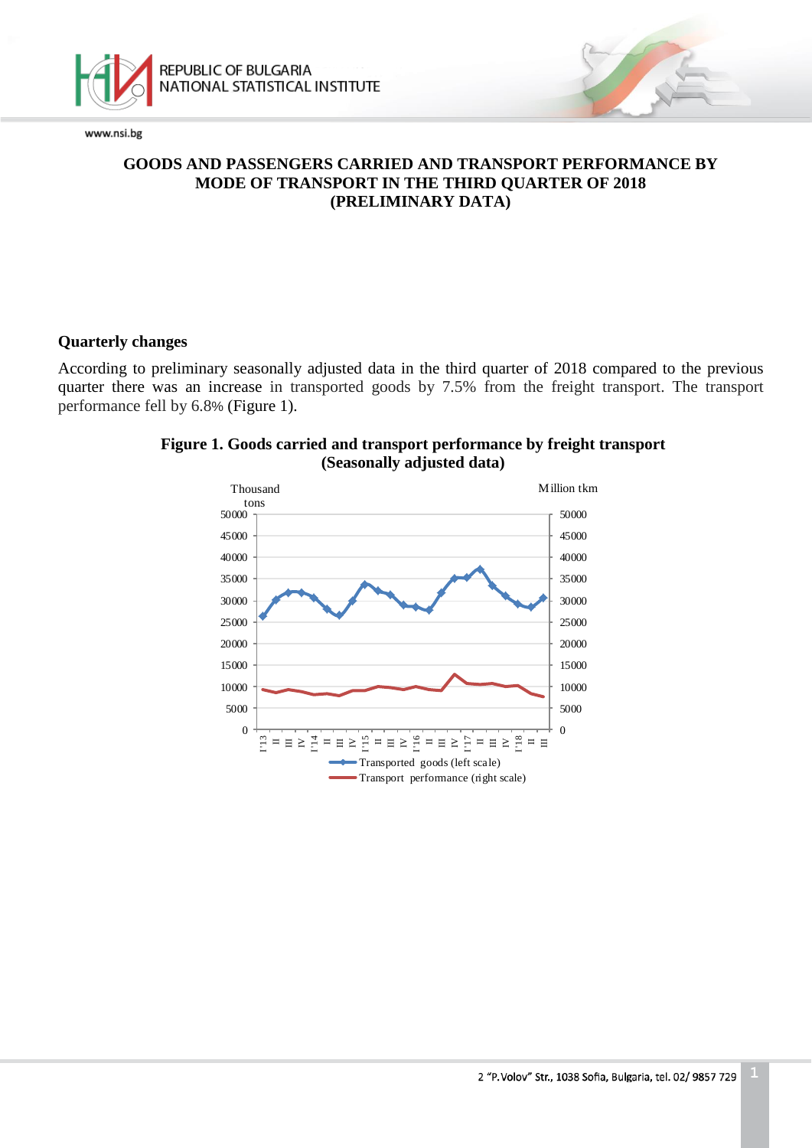



# **GOODS AND PASSENGERS CARRIED AND TRANSPORT PERFORMANCE BY MODE OF TRANSPORT IN THE THIRD QUARTER OF 2018 (PRELIMINARY DATA)**

# **Quarterly changes**

According to preliminary seasonally adjusted data in the third quarter of 2018 compared to the previous quarter there was an increase in transported goods by 7.5% from the freight transport. The transport performance fell by 6.8% (Figure 1).



# **Figure 1. Goods carried and transport performance by freight transport (Seasonally adjusted data)**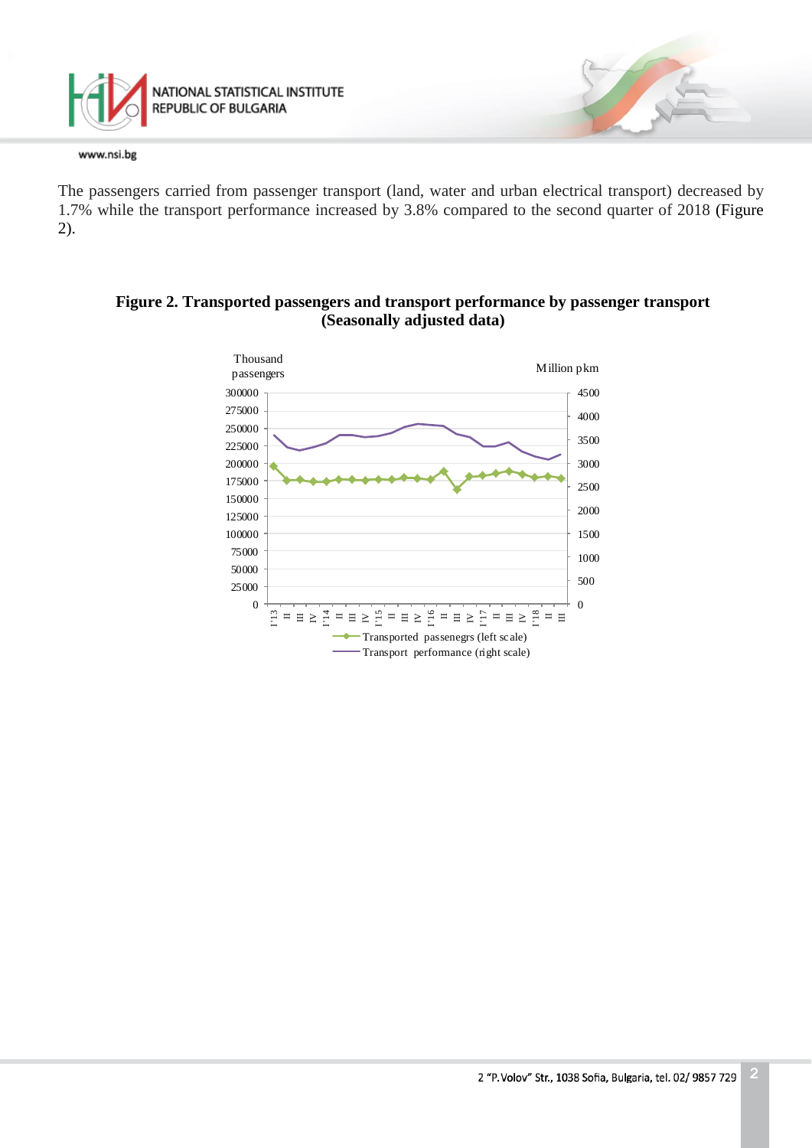

The passengers carried from passenger transport (land, water and urban electrical transport) decreased by 1.7% while the transport performance increased by 3.8% compared to the second quarter of 2018 (Figure 2).

#### $\Xi$  =  $\Xi$   $\Xi$ 그리고 말 그리고 말 그리고 말 그리고 말 그리고 말 Million pkm Thousand passengers Transported passenegrs (left scale) Transport performance (right scale)

# **Figure 2. Transported passengers and transport performance by passenger transport (Seasonally adjusted data)**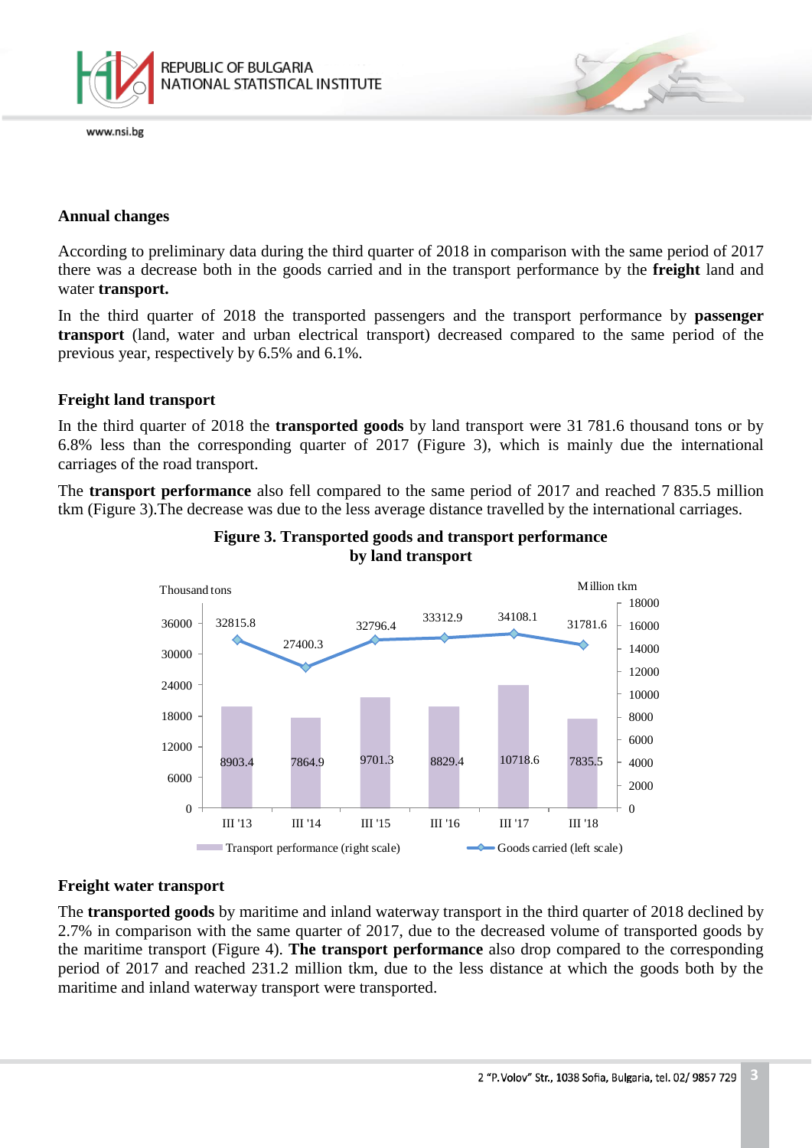

# **Annual changes**

According to preliminary data during the third quarter of 2018 in comparison with the same period of 2017 there was a decrease both in the goods carried and in the transport performance by the **freight** land and water **transport.**

In the third quarter of 2018 the transported passengers and the transport performance by **passenger transport** (land, water and urban electrical transport) decreased compared to the same period of the previous year, respectively by 6.5% and 6.1%.

# **Freight land transport**

In the third quarter of 2018 the **transported goods** by land transport were 31 781.6 thousand tons or by 6.8% less than the corresponding quarter of 2017 (Figure 3), which is mainly due the international carriages of the road transport.

The **transport performance** also fell compared to the same period of 2017 and reached 7 835.5 million tkm (Figure 3).The decrease was due to the less average distance travelled by the international carriages.



# **Figure 3. Transported goods and transport performance by land transport**

# **Freight water transport**

The **transported goods** by maritime and inland waterway transport in the third quarter of 2018 declined by 2.7% in comparison with the same quarter of 2017, due to the decreased volume of transported goods by the maritime transport (Figure 4). **The transport performance** also drop compared to the corresponding period of 2017 and reached 231.2 million tkm, due to the less distance at which the goods both by the maritime and inland waterway transport were transported.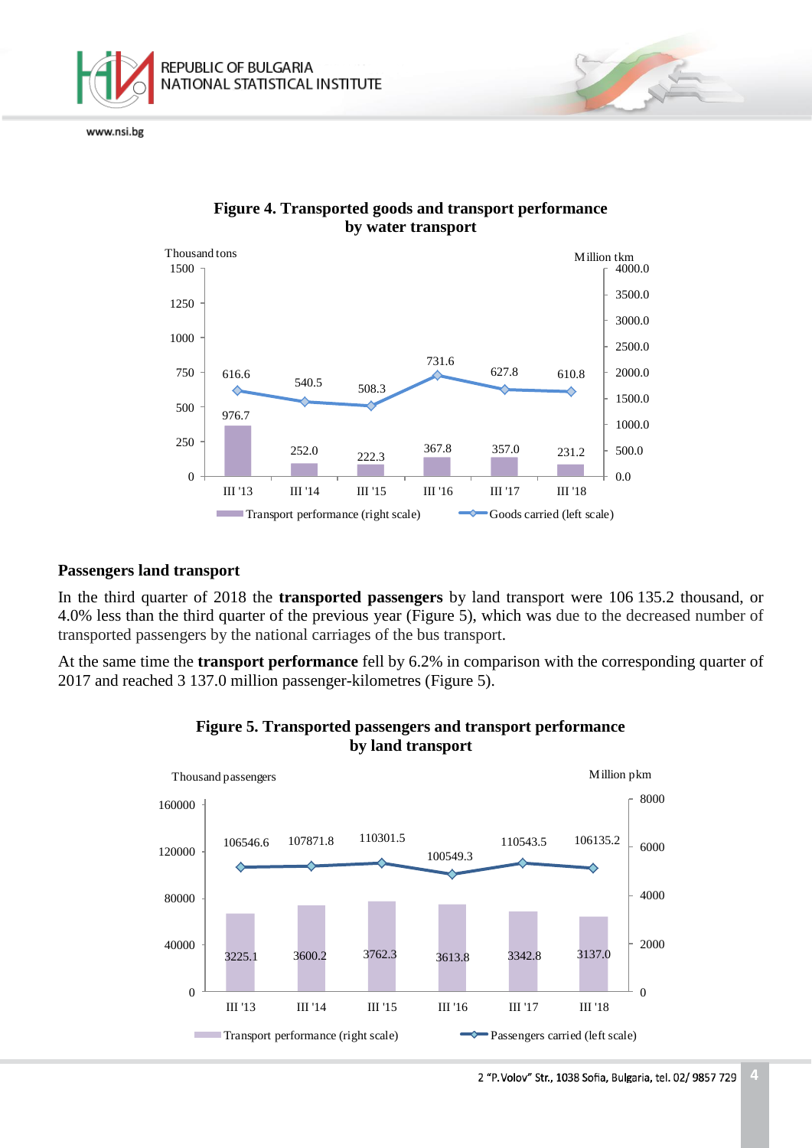



# **Figure 4. Transported goods and transport performance by water transport**

# **Passengers land transport**

In the third quarter of 2018 the **transported passengers** by land transport were 106 135.2 thousand, or 4.0% less than the third quarter of the previous year (Figure 5), which was due to the decreased number of transported passengers by the national carriages of the bus transport.

At the same time the **transport performance** fell by 6.2% in comparison with the corresponding quarter of 2017 and reached 3 137.0 million passenger-kilometres (Figure 5).



# **Figure 5. Transported passengers and transport performance by land transport**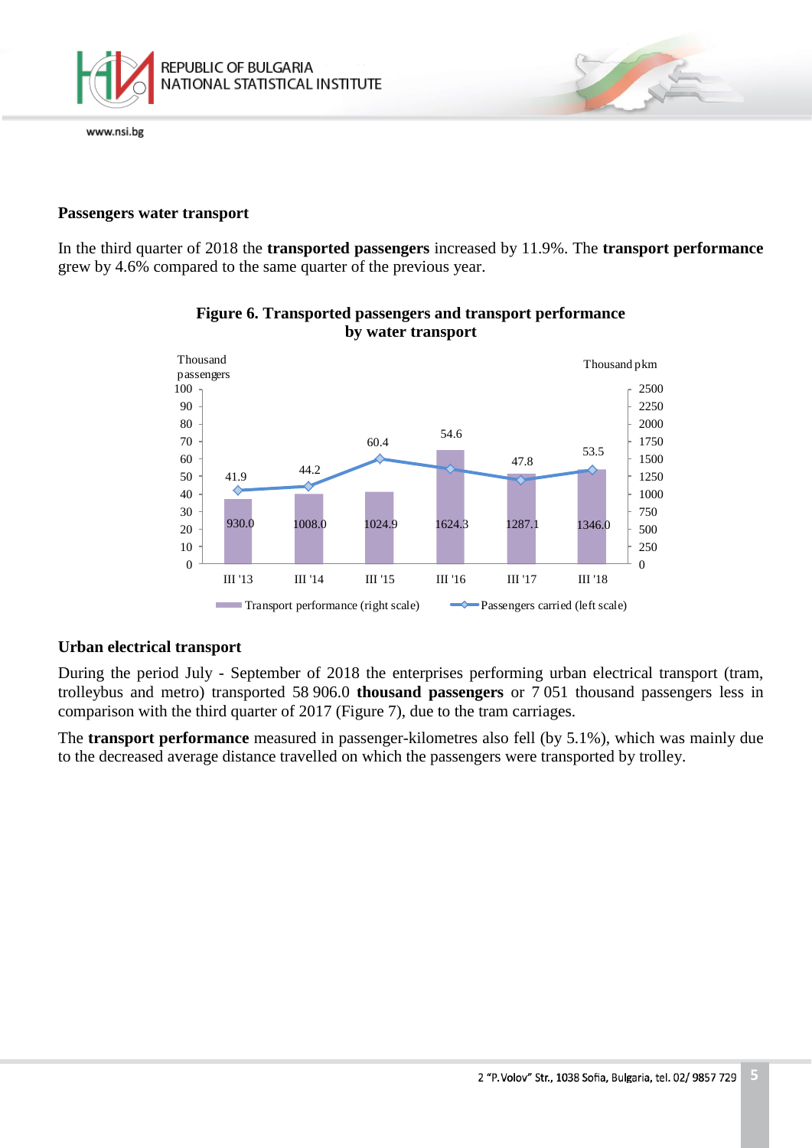

# **Passengers water transport**

In the third quarter of 2018 the **transported passengers** increased by 11.9%. The **transport performance** grew by 4.6% compared to the same quarter of the previous year.



# **Figure 6. Transported passengers and transport performance by water transport**

## **Urban electrical transport**

During the period July - September of 2018 the enterprises performing urban electrical transport (tram, trolleybus and metro) transported 58 906.0 **thousand passengers** or 7 051 thousand passengers less in comparison with the third quarter of 2017 (Figure 7), due to the tram carriages.

The **transport performance** measured in passenger-kilometres also fell (by 5.1%), which was mainly due to the decreased average distance travelled on which the passengers were transported by trolley.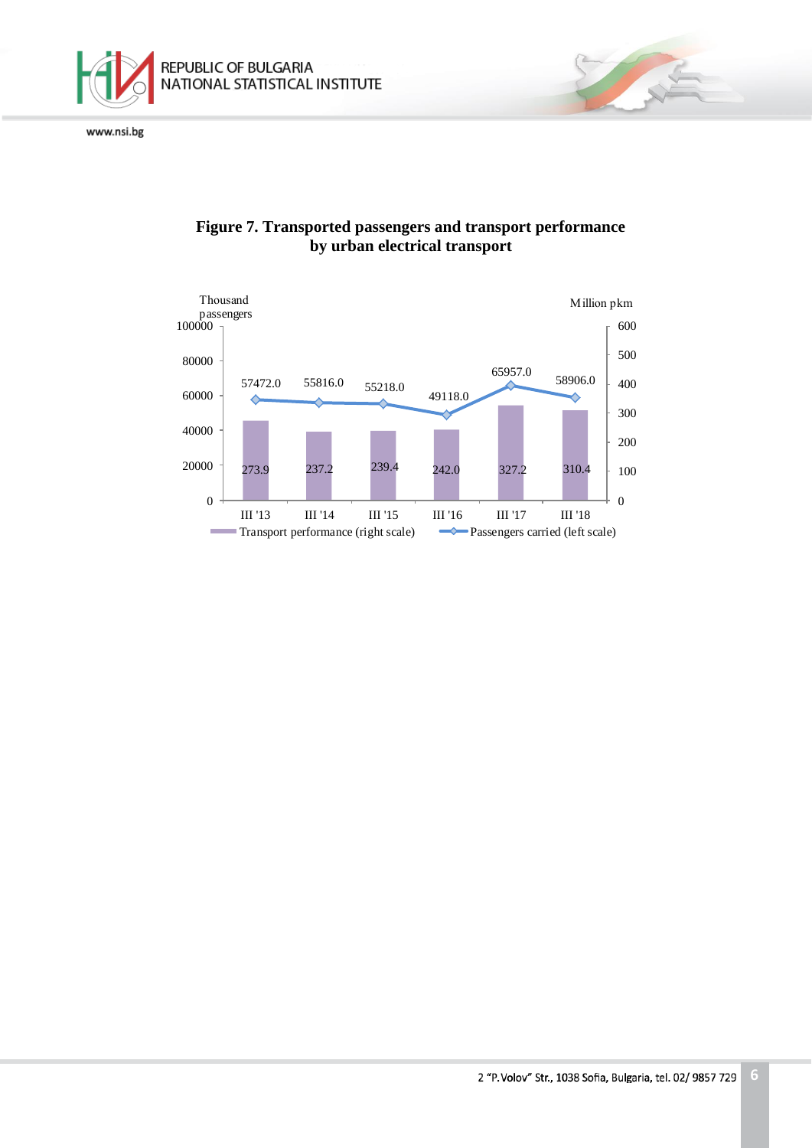



# **Figure 7. Transported passengers and transport performance by urban electrical transport**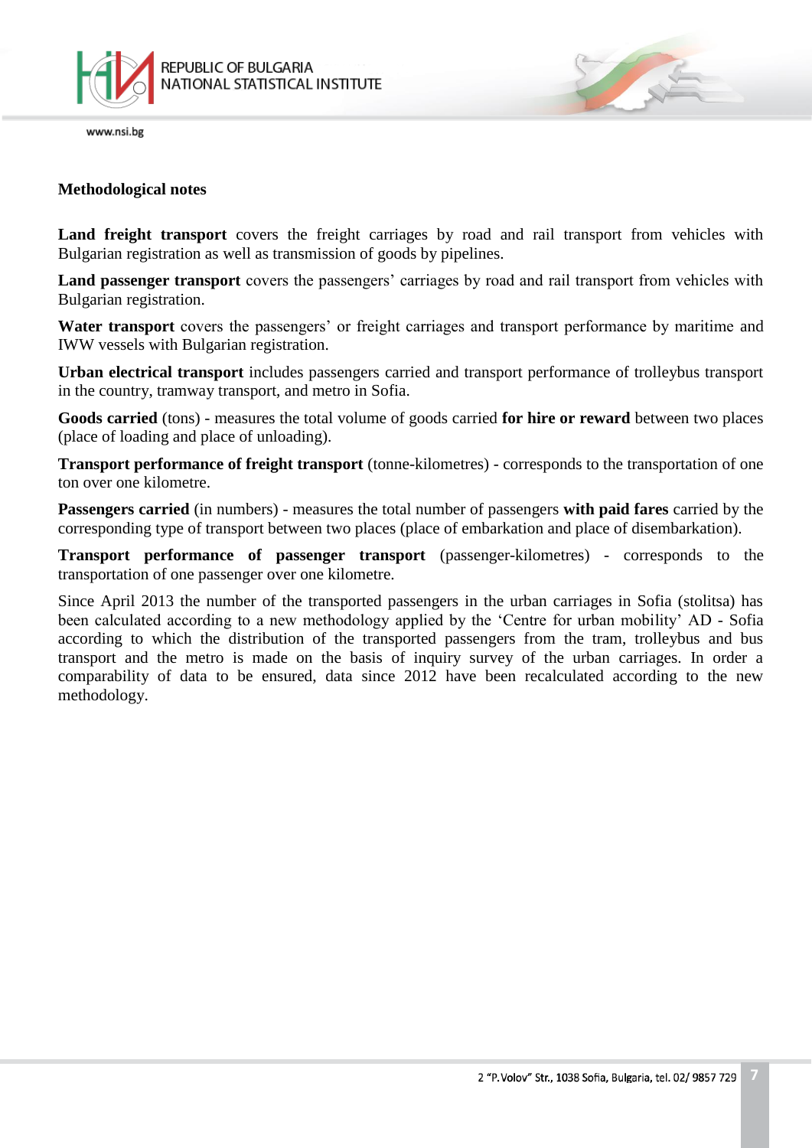

# **Methodological notes**

**Land freight transport** covers the freight carriages by road and rail transport from vehicles with Bulgarian registration as well as transmission of goods by pipelines.

**Land passenger transport** covers the passengers' carriages by road and rail transport from vehicles with Bulgarian registration.

**Water transport** covers the passengers' or freight carriages and transport performance by maritime and IWW vessels with Bulgarian registration.

**Urban electrical transport** includes passengers carried and transport performance of trolleybus transport in the country, tramway transport, and metro in Sofia.

**Goods carried** (tons) - measures the total volume of goods carried **for hire or reward** between two places (place of loading and place of unloading).

**Transport performance of freight transport** (tonne-kilometres) - corresponds to the transportation of one ton over one kilometre.

**Passengers carried** (in numbers) - measures the total number of passengers **with paid fares** carried by the corresponding type of transport between two places (place of embarkation and place of disembarkation).

**Transport performance of passenger transport** (passenger-kilometres) - corresponds to the transportation of one passenger over one kilometre.

Since April 2013 the number of the transported passengers in the urban carriages in Sofia (stolitsa) has been calculated according to a new methodology applied by the 'Centre for urban mobility' AD - Sofia according to which the distribution of the transported passengers from the tram, trolleybus and bus transport and the metro is made on the basis of inquiry survey of the urban carriages. In order a comparability of data to be ensured, data since 2012 have been recalculated according to the new methodology.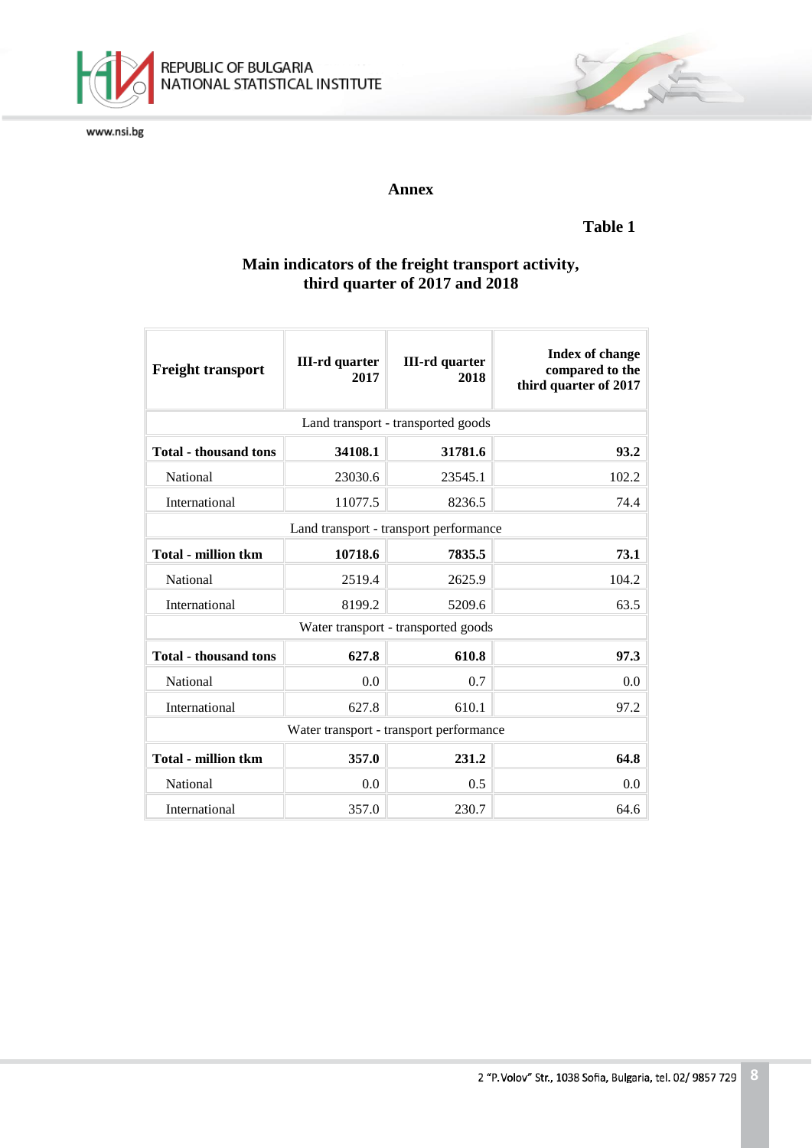

# REPUBLIC OF BULGARIA<br>NATIONAL STATISTICAL INSTITUTE

www.nsi.bg

# **Annex**

# **Table 1**

# **Main indicators of the freight transport activity, third quarter of 2017 and 2018**

| <b>Freight transport</b>                | <b>III-rd</b> quarter<br>2017 | <b>III-rd</b> quarter<br>2018 | <b>Index of change</b><br>compared to the<br>third quarter of 2017 |  |  |
|-----------------------------------------|-------------------------------|-------------------------------|--------------------------------------------------------------------|--|--|
| Land transport - transported goods      |                               |                               |                                                                    |  |  |
| <b>Total - thousand tons</b>            | 34108.1                       | 31781.6                       | 93.2                                                               |  |  |
| National                                | 23030.6                       | 23545.1                       | 102.2                                                              |  |  |
| International                           | 11077.5                       | 8236.5                        | 74.4                                                               |  |  |
| Land transport - transport performance  |                               |                               |                                                                    |  |  |
| <b>Total - million tkm</b>              | 10718.6                       | 7835.5                        | 73.1                                                               |  |  |
| National                                | 2519.4                        | 2625.9                        | 104.2                                                              |  |  |
| International                           | 8199.2                        | 5209.6                        | 63.5                                                               |  |  |
| Water transport - transported goods     |                               |                               |                                                                    |  |  |
| <b>Total - thousand tons</b>            | 627.8                         | 610.8                         | 97.3                                                               |  |  |
| National                                | 0.0                           | 0.7                           | 0.0                                                                |  |  |
| International                           | 627.8                         | 610.1                         | 97.2                                                               |  |  |
| Water transport - transport performance |                               |                               |                                                                    |  |  |
| <b>Total - million tkm</b>              | 357.0                         | 231.2                         | 64.8                                                               |  |  |
| National                                | 0.0                           | 0.5                           | 0.0                                                                |  |  |
| International                           | 357.0                         | 230.7                         | 64.6                                                               |  |  |